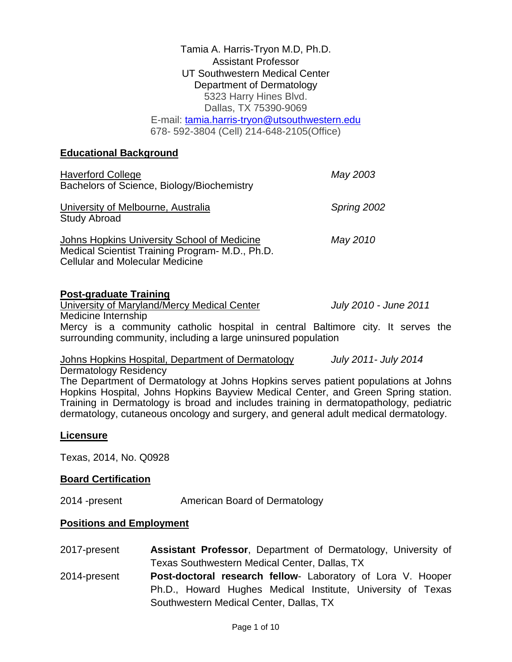Tamia A. Harris-Tryon M.D, Ph.D. Assistant Professor UT Southwestern Medical Center Department of Dermatology 5323 Harry Hines Blvd. Dallas, TX 75390-9069 E-mail: [tamia.harris-tryon@utsouthwestern.edu](mailto:tamia.harris-tryon@utsouthwestern.edu) 678- 592-3804 (Cell) 214-648-2105(Office)

## **Educational Background**

| <b>Haverford College</b><br>Bachelors of Science, Biology/Biochemistry                                                                   | May 2003    |
|------------------------------------------------------------------------------------------------------------------------------------------|-------------|
| University of Melbourne, Australia<br><b>Study Abroad</b>                                                                                | Spring 2002 |
| Johns Hopkins University School of Medicine<br>Medical Scientist Training Program- M.D., Ph.D.<br><b>Cellular and Molecular Medicine</b> | May 2010    |

## **Post-graduate Training**

University of Maryland/Mercy Medical Center *July 2010 - June 2011*

Medicine Internship Mercy is a community catholic hospital in central Baltimore city. It serves the surrounding community, including a large uninsured population

Johns Hopkins Hospital, Department of Dermatology *July 2011- July 2014*

Dermatology Residency

The Department of Dermatology at Johns Hopkins serves patient populations at Johns Hopkins Hospital, Johns Hopkins Bayview Medical Center, and Green Spring station. Training in Dermatology is broad and includes training in dermatopathology, pediatric dermatology, cutaneous oncology and surgery, and general adult medical dermatology.

## **Licensure**

Texas, 2014, No. Q0928

## **Board Certification**

2014 -present American Board of Dermatology

## **Positions and Employment**

2017-present **Assistant Professor**, Department of Dermatology, University of Texas Southwestern Medical Center, Dallas, TX 2014-present **Post-doctoral research fellow**- Laboratory of Lora V. Hooper Ph.D., Howard Hughes Medical Institute, University of Texas Southwestern Medical Center, Dallas, TX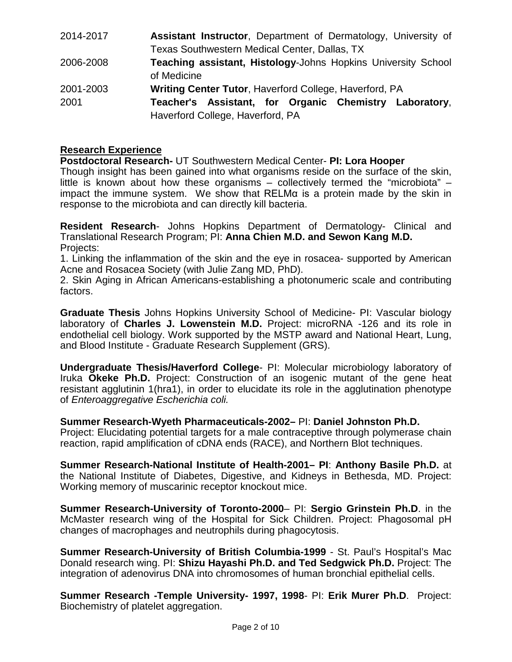| 2014-2017 | <b>Assistant Instructor, Department of Dermatology, University of</b> |
|-----------|-----------------------------------------------------------------------|
|           | <b>Texas Southwestern Medical Center, Dallas, TX</b>                  |
| 2006-2008 | Teaching assistant, Histology-Johns Hopkins University School         |
|           | of Medicine                                                           |
| 2001-2003 | Writing Center Tutor, Haverford College, Haverford, PA                |
| 2001      | Teacher's Assistant, for Organic Chemistry Laboratory,                |
|           | Haverford College, Haverford, PA                                      |

## **Research Experience**

**Postdoctoral Research-** UT Southwestern Medical Center- **PI: Lora Hooper**

Though insight has been gained into what organisms reside on the surface of the skin, little is known about how these organisms – collectively termed the "microbiota" – impact the immune system. We show that RELMα is a protein made by the skin in response to the microbiota and can directly kill bacteria.

**Resident Research**- Johns Hopkins Department of Dermatology- Clinical and Translational Research Program; PI: **Anna Chien M.D. and Sewon Kang M.D.** Projects:

1. Linking the inflammation of the skin and the eye in rosacea- supported by American Acne and Rosacea Society (with Julie Zang MD, PhD).

2. Skin Aging in African Americans-establishing a photonumeric scale and contributing factors.

**Graduate Thesis** Johns Hopkins University School of Medicine- PI: Vascular biology laboratory of **Charles J. Lowenstein M.D.** Project: microRNA -126 and its role in endothelial cell biology. Work supported by the MSTP award and National Heart, Lung, and Blood Institute - Graduate Research Supplement (GRS).

**Undergraduate Thesis/Haverford College**- PI: Molecular microbiology laboratory of Iruka **Okeke Ph.D.** Project: Construction of an isogenic mutant of the gene heat resistant agglutinin 1(hra1), in order to elucidate its role in the agglutination phenotype of *Enteroaggregative Escherichia coli.*

## **Summer Research-Wyeth Pharmaceuticals-2002–** PI: **Daniel Johnston Ph.D.**

Project: Elucidating potential targets for a male contraceptive through polymerase chain reaction, rapid amplification of cDNA ends (RACE), and Northern Blot techniques.

**Summer Research-National Institute of Health-2001– PI**: **Anthony Basile Ph.D.** at the National Institute of Diabetes, Digestive, and Kidneys in Bethesda, MD. Project: Working memory of muscarinic receptor knockout mice.

**Summer Research-University of Toronto-2000**– PI: **Sergio Grinstein Ph.D**. in the McMaster research wing of the Hospital for Sick Children. Project: Phagosomal pH changes of macrophages and neutrophils during phagocytosis.

**Summer Research-University of British Columbia-1999** - St. Paul's Hospital's Mac Donald research wing. PI: **Shizu Hayashi Ph.D. and Ted Sedgwick Ph.D.** Project: The integration of adenovirus DNA into chromosomes of human bronchial epithelial cells.

**Summer Research -Temple University- 1997, 1998**- PI: **Erik Murer Ph.D**. Project: Biochemistry of platelet aggregation.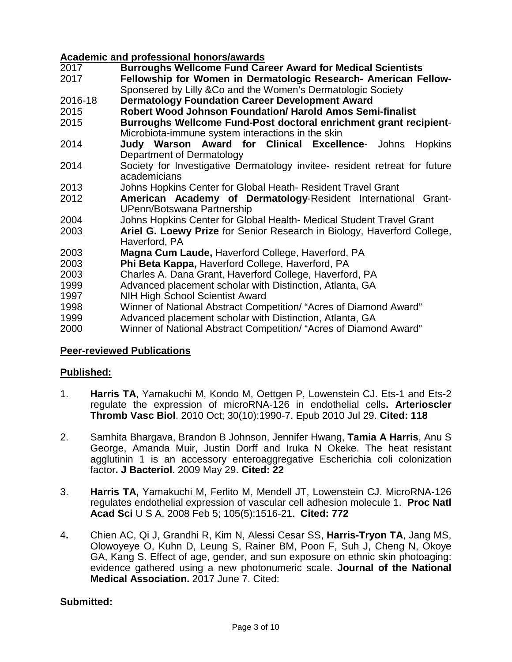# **Academic and professional honors/awards**

- 2017 **Burroughs Wellcome Fund Career Award for Medical Scientists**
- **Fellowship for Women in Dermatologic Research- American Fellow-**Sponsered by Lilly &Co and the Women's Dermatologic Society
- 2016-18 **Dermatology Foundation Career Development Award**
- **Robert Wood Johnson Foundation/ Harold Amos Semi-finalist**
- 2015 **Burroughs Wellcome Fund-Post doctoral enrichment grant recipient**-Microbiota-immune system interactions in the skin
- 2014 **Judy Warson Award for Clinical Excellence** Johns Hopkins Department of Dermatology
- 2014 Society for Investigative Dermatology invitee- resident retreat for future academicians
- 2013 Johns Hopkins Center for Global Heath- Resident Travel Grant
- 2012 **American Academy of Dermatology**-Resident International Grant-UPenn/Botswana Partnership
- 2004 Johns Hopkins Center for Global Health- Medical Student Travel Grant<br>2003 **Ariel G. Loewy Prize** for Senior Research in Biology, Haverford Colle
- Ariel G. Loewy Prize for Senior Research in Biology, Haverford College, Haverford, PA
- 2003 **Magna Cum Laude,** Haverford College, Haverford, PA
- 2003 **Phi Beta Kappa,** Haverford College, Haverford, PA
- 
- 2003 Charles A. Dana Grant, Haverford College, Haverford, PA Advanced placement scholar with Distinction, Atlanta, GA
- 1997 NIH High School Scientist Award
- 1998 Winner of National Abstract Competition/ "Acres of Diamond Award"
- 1999 Advanced placement scholar with Distinction, Atlanta, GA
- 2000 Winner of National Abstract Competition/ "Acres of Diamond Award"

## **Peer-reviewed Publications**

## **Published:**

- 1. **Harris TA**, Yamakuchi M, Kondo M, Oettgen P, Lowenstein CJ. Ets-1 and Ets-2 regulate the expression of microRNA-126 in endothelial cells**. Arterioscler Thromb Vasc Biol**. 2010 Oct; 30(10):1990-7. Epub 2010 Jul 29. **Cited: 118**
- 2. Samhita Bhargava, Brandon B Johnson, Jennifer Hwang, **Tamia A Harris**, Anu S George, Amanda Muir, Justin Dorff and Iruka N Okeke. The heat resistant agglutinin 1 is an accessory enteroaggregative Escherichia coli colonization factor**. J Bacteriol**. 2009 May 29. **Cited: 22**
- 3. **Harris TA,** Yamakuchi M, Ferlito M, Mendell JT, Lowenstein CJ. MicroRNA-126 regulates endothelial expression of vascular cell adhesion molecule 1. **Proc Natl Acad Sci** U S A. 2008 Feb 5; 105(5):1516-21. **Cited: 772**
- 4**.** Chien AC, Qi J, Grandhi R, Kim N, Alessi Cesar SS, **Harris-Tryon TA**, Jang MS, Olowoyeye O, Kuhn D, Leung S, Rainer BM, Poon F, Suh J, Cheng N, Okoye GA, Kang S. Effect of age, gender, and sun exposure on ethnic skin photoaging: evidence gathered using a new photonumeric scale. **Journal of the National Medical Association.** 2017 June 7. Cited:

## **Submitted:**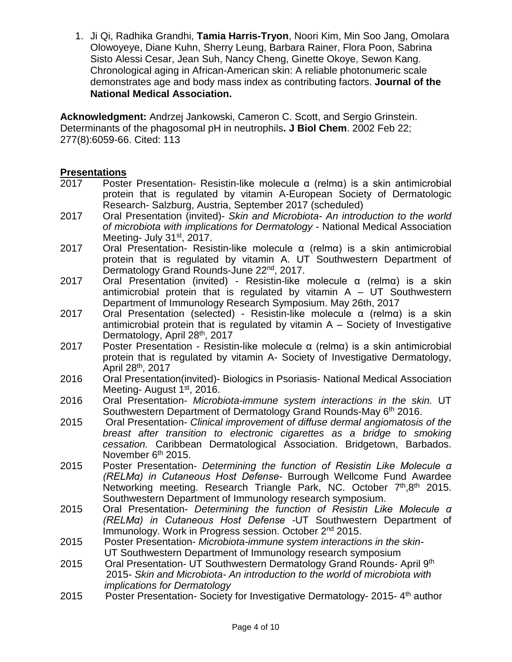1. Ji Qi, Radhika Grandhi, **Tamia Harris-Tryon**, Noori Kim, Min Soo Jang, Omolara Olowoyeye, Diane Kuhn, Sherry Leung, Barbara Rainer, Flora Poon, Sabrina Sisto Alessi Cesar, Jean Suh, Nancy Cheng, Ginette Okoye, Sewon Kang. Chronological aging in African-American skin: A reliable photonumeric scale demonstrates age and body mass index as contributing factors. **Journal of the National Medical Association.** 

**Acknowledgment:** Andrzej Jankowski, Cameron C. Scott, and Sergio Grinstein. Determinants of the phagosomal pH in neutrophils**. J Biol Chem**. 2002 Feb 22; 277(8):6059-66. Cited: 113

## **Presentations**

- 2017 Poster Presentation- Resistin-like molecule α (relmα) is a skin antimicrobial protein that is regulated by vitamin A-European Society of Dermatologic Research- Salzburg, Austria, September 2017 (scheduled)
- 2017 Oral Presentation (invited)- *Skin and Microbiota- An introduction to the world of microbiota with implications for Dermatology* - National Medical Association Meeting- July 31<sup>st</sup>, 2017.
- 2017 Oral Presentation- Resistin-like molecule α (relmα) is a skin antimicrobial protein that is regulated by vitamin A. UT Southwestern Department of Dermatology Grand Rounds-June 22<sup>nd</sup>, 2017.
- 2017 Oral Presentation (invited) Resistin-like molecule α (relmα) is a skin antimicrobial protein that is regulated by vitamin  $A - UT$  Southwestern Department of Immunology Research Symposium. May 26th, 2017
- 2017 Oral Presentation (selected) Resistin-like molecule α (relmα) is a skin antimicrobial protein that is regulated by vitamin  $A -$  Society of Investigative Dermatology, April 28th, 2017
- 2017 Poster Presentation Resistin-like molecule α (relmα) is a skin antimicrobial protein that is regulated by vitamin A- Society of Investigative Dermatology, April 28th, 2017
- 2016 Oral Presentation(invited)- Biologics in Psoriasis- National Medical Association Meeting- August 1<sup>st</sup>, 2016.
- 2016 Oral Presentation- *Microbiota-immune system interactions in the skin.* UT Southwestern Department of Dermatology Grand Rounds-May 6th 2016.
- 2015 Oral Presentation- *Clinical improvement of diffuse dermal angiomatosis of the breast after transition to electronic cigarettes as a bridge to smoking cessation.* Caribbean Dermatological Association. Bridgetown, Barbados. November 6<sup>th</sup> 2015.
- 2015 Poster Presentation- *Determining the function of Resistin Like Molecule α (RELMα) in Cutaneous Host Defense-* Burrough Wellcome Fund Awardee Networking meeting. Research Triangle Park, NC. October 7<sup>th</sup>,8<sup>th</sup> 2015. Southwestern Department of Immunology research symposium.
- 2015 Oral Presentation- *Determining the function of Resistin Like Molecule α (RELMα) in Cutaneous Host Defense -*UT Southwestern Department of Immunology. Work in Progress session. October 2<sup>nd</sup> 2015.
- 2015 Poster Presentation- *Microbiota-immune system interactions in the skin-* UT Southwestern Department of Immunology research symposium
- 2015 Oral Presentation- UT Southwestern Dermatology Grand Rounds- April 9th 2015- *Skin and Microbiota- An introduction to the world of microbiota with implications for Dermatology*
- 2015 Poster Presentation- Society for Investigative Dermatology- 2015-4<sup>th</sup> author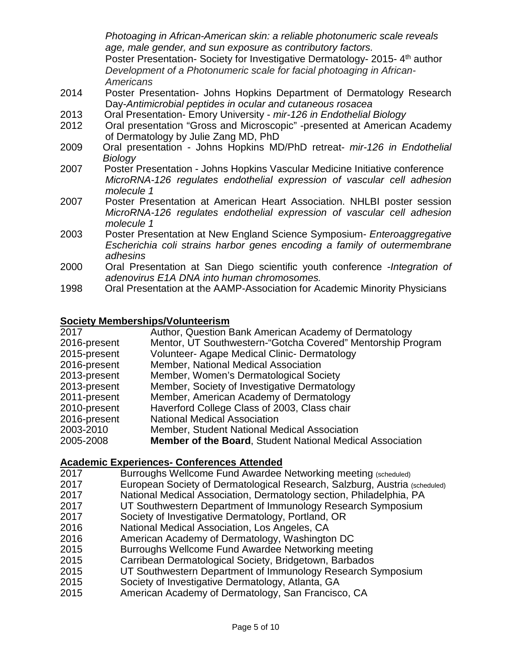*Photoaging in African-American skin: a reliable photonumeric scale reveals age, male gender, and sun exposure as contributory factors.*  Poster Presentation- Society for Investigative Dermatology- 2015-4<sup>th</sup> author *Development of a Photonumeric scale for facial photoaging in African-Americans*

- 2014 Poster Presentation- Johns Hopkins Department of Dermatology Research Day-*Antimicrobial peptides in ocular and cutaneous rosacea*
- 2013 Oral Presentation- Emory University *mir-126 in Endothelial Biology*
- 2012 Oral presentation "Gross and Microscopic" -presented at American Academy of Dermatology by Julie Zang MD, PhD
- 2009 Oral presentation Johns Hopkins MD/PhD retreat- *mir-126 in Endothelial Biology*
- 2007 Poster Presentation Johns Hopkins Vascular Medicine Initiative conference *MicroRNA-126 regulates endothelial expression of vascular cell adhesion molecule 1*
- 2007 Poster Presentation at American Heart Association. NHLBI poster session *MicroRNA-126 regulates endothelial expression of vascular cell adhesion molecule 1*
- 2003 Poster Presentation at New England Science Symposium- *Enteroaggregative Escherichia coli strains harbor genes encoding a family of outermembrane adhesins*
- 2000 Oral Presentation at San Diego scientific youth conference -*Integration of adenovirus E1A DNA into human chromosomes.*
- 1998 Oral Presentation at the AAMP-Association for Academic Minority Physicians

## **Society Memberships/Volunteerism**

| Author, Question Bank American Academy of Dermatology            |
|------------------------------------------------------------------|
| Mentor, UT Southwestern-"Gotcha Covered" Mentorship Program      |
| <b>Volunteer- Agape Medical Clinic- Dermatology</b>              |
| Member, National Medical Association                             |
| Member, Women's Dermatological Society                           |
| Member, Society of Investigative Dermatology                     |
| Member, American Academy of Dermatology                          |
| Haverford College Class of 2003, Class chair                     |
| <b>National Medical Association</b>                              |
| Member, Student National Medical Association                     |
| <b>Member of the Board, Student National Medical Association</b> |
|                                                                  |

# **Academic Experiences- Conferences Attended**

- 2017 Burroughs Wellcome Fund Awardee Networking meeting (scheduled)<br>2017 **Buropean Society of Dermatological Research, Salzburg, Austria** a
- European Society of Dermatological Research, Salzburg, Austria (scheduled)
- 2017 National Medical Association, Dermatology section, Philadelphia, PA
- UT Southwestern Department of Immunology Research Symposium
- 2017 Society of Investigative Dermatology, Portland, OR
- 2016 National Medical Association, Los Angeles, CA
- American Academy of Dermatology, Washington DC
- 2015 Burroughs Wellcome Fund Awardee Networking meeting
- 2015 Carribean Dermatological Society, Bridgetown, Barbados
- 2015 UT Southwestern Department of Immunology Research Symposium
- 2015 Society of Investigative Dermatology, Atlanta, GA
- American Academy of Dermatology, San Francisco, CA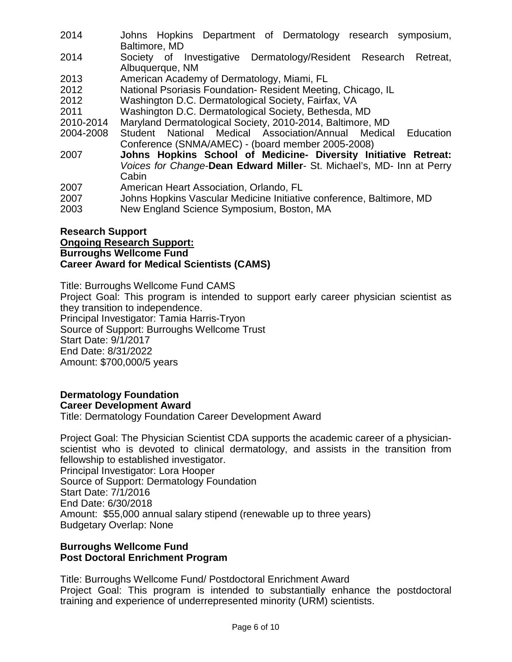- 2014 Johns Hopkins Department of Dermatology research symposium, Baltimore, MD
- 2014 Society of Investigative Dermatology/Resident Research Retreat, Albuquerque, NM
- 2013 American Academy of Dermatology, Miami, FL
- 2012 National Psoriasis Foundation- Resident Meeting, Chicago, IL
- 2012 Washington D.C. Dermatological Society, Fairfax, VA
- 2011 Washington D.C. Dermatological Society, Bethesda, MD
- 
- 2010-2014 Maryland Dermatological Society, 2010-2014, Baltimore, MD Student National Medical Association/Annual Medical Education Conference (SNMA/AMEC) - (board member 2005-2008)
- 2007 **Johns Hopkins School of Medicine- Diversity Initiative Retreat:** *Voices for Change*-**Dean Edward Miller**- St. Michael's, MD- Inn at Perry Cabin
- 2007 American Heart Association, Orlando, FL
- 2007 Johns Hopkins Vascular Medicine Initiative conference, Baltimore, MD
- 2003 New England Science Symposium, Boston, MA

## **Research Support Ongoing Research Support: Burroughs Wellcome Fund Career Award for Medical Scientists (CAMS)**

Title: Burroughs Wellcome Fund CAMS Project Goal: This program is intended to support early career physician scientist as they transition to independence. Principal Investigator: Tamia Harris-Tryon Source of Support: Burroughs Wellcome Trust Start Date: 9/1/2017 End Date: 8/31/2022 Amount: \$700,000/5 years

## **Dermatology Foundation Career Development Award**

Title: Dermatology Foundation Career Development Award

Project Goal: The Physician Scientist CDA supports the academic career of a physicianscientist who is devoted to clinical dermatology, and assists in the transition from fellowship to established investigator. Principal Investigator: Lora Hooper Source of Support: Dermatology Foundation

Start Date: 7/1/2016 End Date: 6/30/2018 Amount: \$55,000 annual salary stipend (renewable up to three years) Budgetary Overlap: None

## **Burroughs Wellcome Fund Post Doctoral Enrichment Program**

Title: Burroughs Wellcome Fund/ Postdoctoral Enrichment Award Project Goal: This program is intended to substantially enhance the postdoctoral training and experience of underrepresented minority (URM) scientists.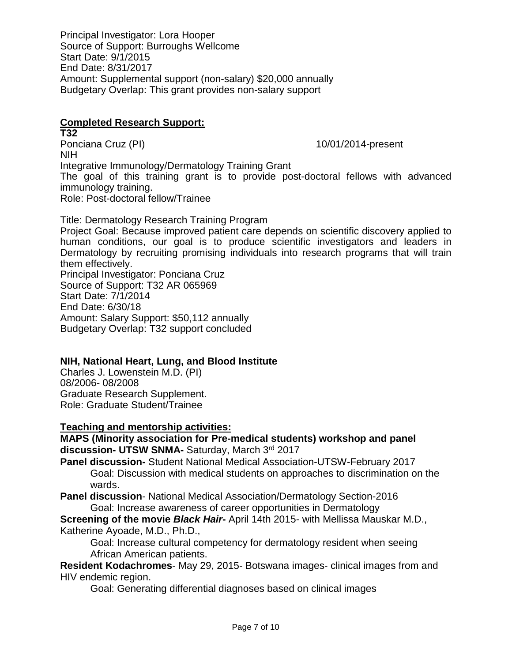Principal Investigator: Lora Hooper Source of Support: Burroughs Wellcome Start Date: 9/1/2015 End Date: 8/31/2017 Amount: Supplemental support (non-salary) \$20,000 annually Budgetary Overlap: This grant provides non-salary support

## **Completed Research Support:**

**T32**<br>Ponciana Cruz (PI) 10/01/2014-present NIH Integrative Immunology/Dermatology Training Grant The goal of this training grant is to provide post-doctoral fellows with advanced immunology training. Role: Post-doctoral fellow/Trainee

Title: Dermatology Research Training Program Project Goal: Because improved patient care depends on scientific discovery applied to human conditions, our goal is to produce scientific investigators and leaders in Dermatology by recruiting promising individuals into research programs that will train them effectively. Principal Investigator: Ponciana Cruz Source of Support: T32 AR 065969 Start Date: 7/1/2014 End Date: 6/30/18 Amount: Salary Support: \$50,112 annually Budgetary Overlap: T32 support concluded

## **NIH, National Heart, Lung, and Blood Institute**

Charles J. Lowenstein M.D. (PI) 08/2006- 08/2008 Graduate Research Supplement. Role: Graduate Student/Trainee

## **Teaching and mentorship activities:**

**MAPS (Minority association for Pre-medical students) workshop and panel discussion- UTSW SNMA-** Saturday, March 3rd 2017

**Panel discussion-** Student National Medical Association-UTSW-February 2017 Goal: Discussion with medical students on approaches to discrimination on the wards.

**Panel discussion**- National Medical Association/Dermatology Section-2016 Goal: Increase awareness of career opportunities in Dermatology

**Screening of the movie** *Black Hair***-** April 14th 2015- with Mellissa Mauskar M.D., Katherine Ayoade, M.D., Ph.D.,

Goal: Increase cultural competency for dermatology resident when seeing African American patients.

**Resident Kodachromes**- May 29, 2015- Botswana images- clinical images from and HIV endemic region.

Goal: Generating differential diagnoses based on clinical images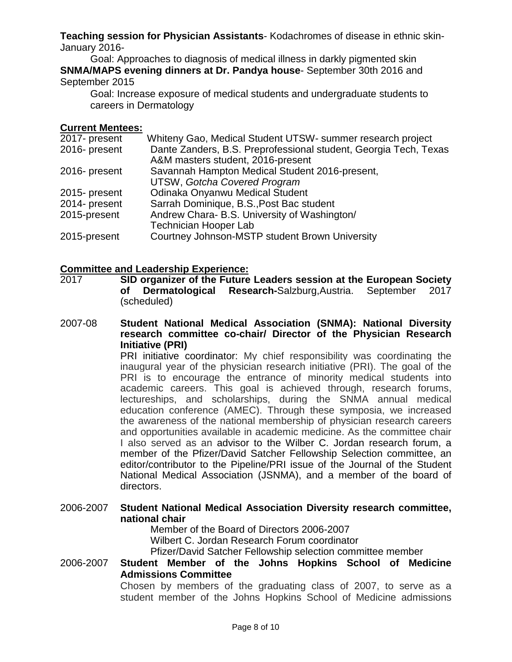**Teaching session for Physician Assistants**- Kodachromes of disease in ethnic skin-January 2016-

Goal: Approaches to diagnosis of medical illness in darkly pigmented skin **SNMA/MAPS evening dinners at Dr. Pandya house**- September 30th 2016 and September 2015

Goal: Increase exposure of medical students and undergraduate students to careers in Dermatology

## **Current Mentees:**

| Whiteny Gao, Medical Student UTSW- summer research project       |
|------------------------------------------------------------------|
| Dante Zanders, B.S. Preprofessional student, Georgia Tech, Texas |
| A&M masters student, 2016-present                                |
| Savannah Hampton Medical Student 2016-present,                   |
| <b>UTSW, Gotcha Covered Program</b>                              |
| Odinaka Onyanwu Medical Student                                  |
| Sarrah Dominique, B.S., Post Bac student                         |
| Andrew Chara- B.S. University of Washington/                     |
| <b>Technician Hooper Lab</b>                                     |
| Courtney Johnson-MSTP student Brown University                   |
|                                                                  |

# **Committee and Leadership Experience:**

**SID organizer of the Future Leaders session at the European Society of Dermatological Research-Salzburg Austria. September 2017 of Dermatological Research-**Salzburg,Austria. September 2017 (scheduled)

2007-08 **Student National Medical Association (SNMA): National Diversity research committee co-chair/ Director of the Physician Research Initiative (PRI)**

PRI initiative coordinator: My chief responsibility was coordinating the inaugural year of the physician research initiative (PRI). The goal of the PRI is to encourage the entrance of minority medical students into academic careers. This goal is achieved through, research forums, lectureships, and scholarships, during the SNMA annual medical education conference (AMEC). Through these symposia, we increased the awareness of the national membership of physician research careers and opportunities available in academic medicine. As the committee chair I also served as an advisor to the Wilber C. Jordan research forum, a member of the Pfizer/David Satcher Fellowship Selection committee, an editor/contributor to the Pipeline/PRI issue of the Journal of the Student National Medical Association (JSNMA), and a member of the board of directors.

2006-2007 **Student National Medical Association Diversity research committee, national chair**

Member of the Board of Directors 2006-2007 Wilbert C. Jordan Research Forum coordinator Pfizer/David Satcher Fellowship selection committee member

2006-2007 **Student Member of the Johns Hopkins School of Medicine Admissions Committee**

Chosen by members of the graduating class of 2007, to serve as a student member of the Johns Hopkins School of Medicine admissions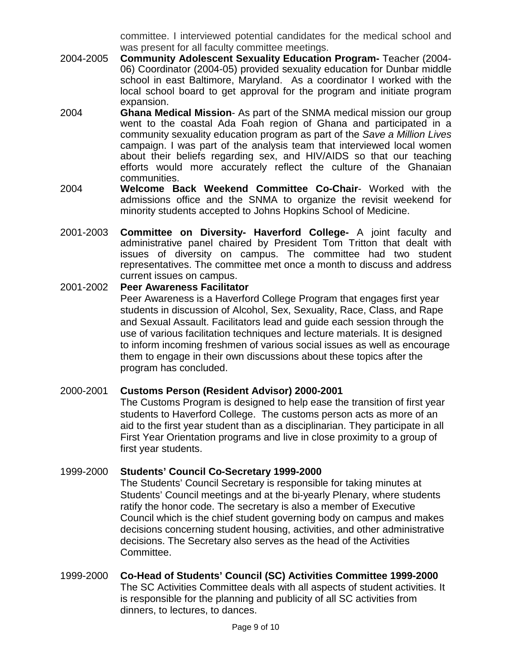committee. I interviewed potential candidates for the medical school and was present for all faculty committee meetings.

- 2004-2005 **Community Adolescent Sexuality Education Program-** Teacher (2004- 06) Coordinator (2004-05) provided sexuality education for Dunbar middle school in east Baltimore, Maryland. As a coordinator I worked with the local school board to get approval for the program and initiate program expansion.
- 2004 **Ghana Medical Mission** As part of the SNMA medical mission our group went to the coastal Ada Foah region of Ghana and participated in a community sexuality education program as part of the *Save a Million Lives* campaign. I was part of the analysis team that interviewed local women about their beliefs regarding sex, and HIV/AIDS so that our teaching efforts would more accurately reflect the culture of the Ghanaian communities.
- 2004 **Welcome Back Weekend Committee Co-Chair** Worked with the admissions office and the SNMA to organize the revisit weekend for minority students accepted to Johns Hopkins School of Medicine.
- 2001-2003 **Committee on Diversity- Haverford College-** A joint faculty and administrative panel chaired by President Tom Tritton that dealt with issues of diversity on campus. The committee had two student representatives. The committee met once a month to discuss and address current issues on campus.

## 2001-2002 **Peer Awareness Facilitator**

Peer Awareness is a Haverford College Program that engages first year students in discussion of Alcohol, Sex, Sexuality, Race, Class, and Rape and Sexual Assault. Facilitators lead and guide each session through the use of various facilitation techniques and lecture materials. It is designed to inform incoming freshmen of various social issues as well as encourage them to engage in their own discussions about these topics after the program has concluded.

## 2000-2001 **Customs Person (Resident Advisor) 2000-2001**

The Customs Program is designed to help ease the transition of first year students to Haverford College. The customs person acts as more of an aid to the first year student than as a disciplinarian. They participate in all First Year Orientation programs and live in close proximity to a group of first year students.

## 1999-2000 **Students' Council Co-Secretary 1999-2000**

The Students' Council Secretary is responsible for taking minutes at Students' Council meetings and at the bi-yearly Plenary, where students ratify the honor code. The secretary is also a member of Executive Council which is the chief student governing body on campus and makes decisions concerning student housing, activities, and other administrative decisions. The Secretary also serves as the head of the Activities Committee.

## 1999-2000 **Co-Head of Students' Council (SC) Activities Committee 1999-2000**  The SC Activities Committee deals with all aspects of student activities. It is responsible for the planning and publicity of all SC activities from dinners, to lectures, to dances.